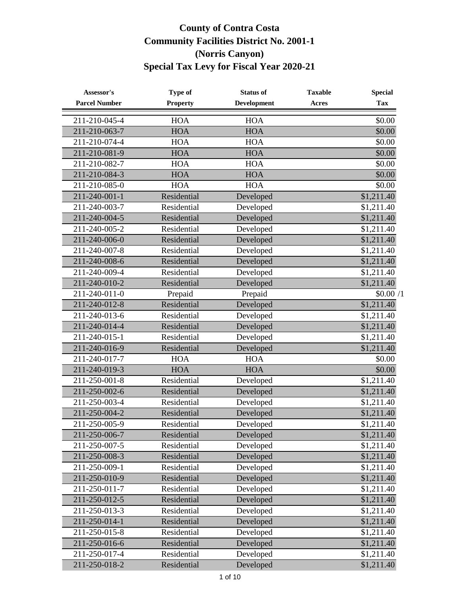| Assessor's            | Type of         | <b>Status of</b>   | <b>Taxable</b> | <b>Special</b> |
|-----------------------|-----------------|--------------------|----------------|----------------|
| <b>Parcel Number</b>  | <b>Property</b> | <b>Development</b> | Acres          | <b>Tax</b>     |
| 211-210-045-4         | <b>HOA</b>      | <b>HOA</b>         |                | \$0.00         |
| 211-210-063-7         | <b>HOA</b>      | <b>HOA</b>         |                | \$0.00         |
| 211-210-074-4         | <b>HOA</b>      | <b>HOA</b>         |                | \$0.00         |
| 211-210-081-9         | <b>HOA</b>      | <b>HOA</b>         |                | \$0.00         |
| 211-210-082-7         | <b>HOA</b>      | <b>HOA</b>         |                | \$0.00         |
| 211-210-084-3         | <b>HOA</b>      | <b>HOA</b>         |                | \$0.00         |
| 211-210-085-0         | <b>HOA</b>      | <b>HOA</b>         |                | \$0.00         |
| 211-240-001-1         | Residential     | Developed          |                | \$1,211.40     |
| 211-240-003-7         | Residential     | Developed          |                | \$1,211.40     |
| 211-240-004-5         | Residential     | Developed          |                | \$1,211.40     |
| 211-240-005-2         | Residential     | Developed          |                | \$1,211.40     |
| 211-240-006-0         | Residential     | Developed          |                | \$1,211.40     |
| 211-240-007-8         | Residential     | Developed          |                | \$1,211.40     |
| 211-240-008-6         | Residential     | Developed          |                | \$1,211.40     |
| 211-240-009-4         | Residential     | Developed          |                | \$1,211.40     |
| 211-240-010-2         | Residential     | Developed          |                | \$1,211.40     |
| 211-240-011-0         | Prepaid         | Prepaid            |                | \$0.00/1       |
| 211-240-012-8         | Residential     | Developed          |                | \$1,211.40     |
| 211-240-013-6         | Residential     | Developed          |                | \$1,211.40     |
| 211-240-014-4         | Residential     | Developed          |                | \$1,211.40     |
| 211-240-015-1         | Residential     | Developed          |                | \$1,211.40     |
| 211-240-016-9         | Residential     | Developed          |                | \$1,211.40     |
| 211-240-017-7         | <b>HOA</b>      | <b>HOA</b>         |                | \$0.00         |
| 211-240-019-3         | <b>HOA</b>      | <b>HOA</b>         |                | \$0.00         |
| 211-250-001-8         | Residential     | Developed          |                | \$1,211.40     |
| 211-250-002-6         | Residential     | Developed          |                | \$1,211.40     |
| 211-250-003-4         | Residential     | Developed          |                | \$1,211.40     |
| 211-250-004-2         | Residential     | Developed          |                | \$1,211.40     |
| 211-250-005-9         | Residential     | Developed          |                | \$1,211.40     |
| 211-250-006-7         | Residential     | Developed          |                | \$1,211.40     |
| 211-250-007-5         | Residential     | Developed          |                | \$1,211.40     |
| 211-250-008-3         | Residential     | Developed          |                | \$1,211.40     |
| 211-250-009-1         | Residential     | Developed          |                | \$1,211.40     |
| 211-250-010-9         | Residential     | Developed          |                | \$1,211.40     |
| 211-250-011-7         | Residential     | Developed          |                | \$1,211.40     |
| 211-250-012-5         | Residential     | Developed          |                | \$1,211.40     |
| $211 - 250 - 013 - 3$ | Residential     | Developed          |                | \$1,211.40     |
| 211-250-014-1         | Residential     | Developed          |                | \$1,211.40     |
| 211-250-015-8         | Residential     | Developed          |                | \$1,211.40     |
| 211-250-016-6         | Residential     | Developed          |                | \$1,211.40     |
| 211-250-017-4         | Residential     | Developed          |                | \$1,211.40     |
| 211-250-018-2         | Residential     | Developed          |                | \$1,211.40     |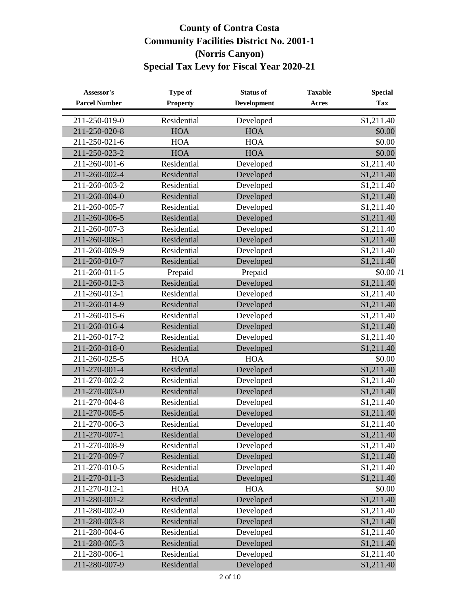| Assessor's           | Type of         | <b>Status of</b>   | <b>Taxable</b> | <b>Special</b>         |
|----------------------|-----------------|--------------------|----------------|------------------------|
| <b>Parcel Number</b> | <b>Property</b> | <b>Development</b> | Acres          | <b>Tax</b>             |
| 211-250-019-0        | Residential     | Developed          |                | \$1,211.40             |
| 211-250-020-8        | <b>HOA</b>      | <b>HOA</b>         |                | \$0.00                 |
| 211-250-021-6        | <b>HOA</b>      | <b>HOA</b>         |                | \$0.00                 |
| 211-250-023-2        | <b>HOA</b>      | <b>HOA</b>         |                | \$0.00                 |
| 211-260-001-6        | Residential     | Developed          |                | \$1,211.40             |
| 211-260-002-4        | Residential     | Developed          |                | \$1,211.40             |
| 211-260-003-2        | Residential     | Developed          |                | \$1,211.40             |
| 211-260-004-0        | Residential     | Developed          |                | \$1,211.40             |
| 211-260-005-7        | Residential     | Developed          |                | \$1,211.40             |
| 211-260-006-5        | Residential     | Developed          |                | \$1,211.40             |
| 211-260-007-3        | Residential     | Developed          |                | \$1,211.40             |
| 211-260-008-1        | Residential     | Developed          |                | $\overline{$1,211.40}$ |
| 211-260-009-9        | Residential     | Developed          |                | \$1,211.40             |
| 211-260-010-7        | Residential     | Developed          |                | \$1,211.40             |
| 211-260-011-5        | Prepaid         | Prepaid            |                | \$0.00/1               |
| 211-260-012-3        | Residential     | Developed          |                | $\overline{$}1,211.40$ |
| 211-260-013-1        | Residential     | Developed          |                | \$1,211.40             |
| 211-260-014-9        | Residential     | Developed          |                | \$1,211.40             |
| 211-260-015-6        | Residential     | Developed          |                | \$1,211.40             |
| 211-260-016-4        | Residential     | Developed          |                | \$1,211.40             |
| 211-260-017-2        | Residential     | Developed          |                | \$1,211.40             |
| 211-260-018-0        | Residential     | Developed          |                | \$1,211.40             |
| 211-260-025-5        | <b>HOA</b>      | <b>HOA</b>         |                | \$0.00                 |
| 211-270-001-4        | Residential     | Developed          |                | \$1,211.40             |
| 211-270-002-2        | Residential     | Developed          |                | \$1,211.40             |
| 211-270-003-0        | Residential     | Developed          |                | \$1,211.40             |
| 211-270-004-8        | Residential     | Developed          |                | \$1,211.40             |
| 211-270-005-5        | Residential     | Developed          |                | \$1,211.40             |
| 211-270-006-3        | Residential     | Developed          |                | \$1,211.40             |
| 211-270-007-1        | Residential     | Developed          |                | \$1,211.40             |
| 211-270-008-9        | Residential     | Developed          |                | \$1,211.40             |
| 211-270-009-7        | Residential     | Developed          |                | \$1,211.40             |
| 211-270-010-5        | Residential     | Developed          |                | \$1,211.40             |
| 211-270-011-3        | Residential     | Developed          |                | \$1,211.40             |
| 211-270-012-1        | <b>HOA</b>      | <b>HOA</b>         |                | \$0.00                 |
| 211-280-001-2        | Residential     | Developed          |                | \$1,211.40             |
| 211-280-002-0        | Residential     | Developed          |                | \$1,211.40             |
| 211-280-003-8        | Residential     | Developed          |                | \$1,211.40             |
| 211-280-004-6        | Residential     | Developed          |                | \$1,211.40             |
| 211-280-005-3        | Residential     | Developed          |                | \$1,211.40             |
| 211-280-006-1        | Residential     | Developed          |                | \$1,211.40             |
| 211-280-007-9        | Residential     | Developed          |                | \$1,211.40             |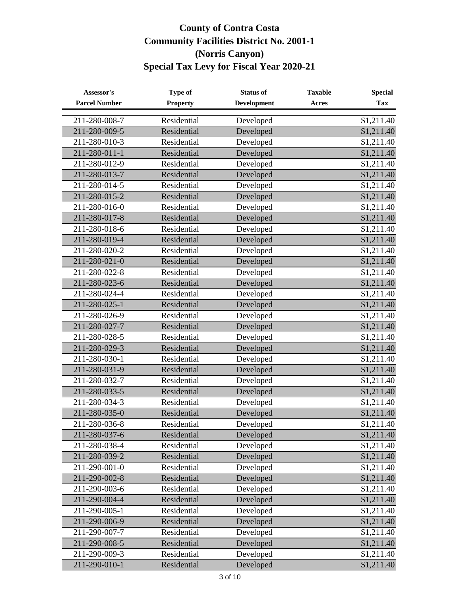| Assessor's           | <b>Type of</b>  | <b>Status of</b>   | <b>Taxable</b> | <b>Special</b> |
|----------------------|-----------------|--------------------|----------------|----------------|
| <b>Parcel Number</b> | <b>Property</b> | <b>Development</b> | Acres          | <b>Tax</b>     |
| 211-280-008-7        | Residential     | Developed          |                | \$1,211.40     |
| 211-280-009-5        | Residential     | Developed          |                | \$1,211.40     |
| 211-280-010-3        | Residential     | Developed          |                | \$1,211.40     |
| 211-280-011-1        | Residential     | Developed          |                | \$1,211.40     |
| 211-280-012-9        | Residential     | Developed          |                | \$1,211.40     |
| 211-280-013-7        | Residential     | Developed          |                | \$1,211.40     |
| 211-280-014-5        | Residential     | Developed          |                | \$1,211.40     |
| 211-280-015-2        | Residential     | Developed          |                | \$1,211.40     |
| 211-280-016-0        | Residential     | Developed          |                | \$1,211.40     |
| 211-280-017-8        | Residential     | Developed          |                | \$1,211.40     |
| 211-280-018-6        | Residential     | Developed          |                | \$1,211.40     |
| 211-280-019-4        | Residential     | Developed          |                | \$1,211.40     |
| 211-280-020-2        | Residential     | Developed          |                | \$1,211.40     |
| 211-280-021-0        | Residential     | Developed          |                | \$1,211.40     |
| 211-280-022-8        | Residential     | Developed          |                | \$1,211.40     |
| 211-280-023-6        | Residential     | Developed          |                | \$1,211.40     |
| 211-280-024-4        | Residential     | Developed          |                | \$1,211.40     |
| 211-280-025-1        | Residential     | Developed          |                | \$1,211.40     |
| 211-280-026-9        | Residential     | Developed          |                | \$1,211.40     |
| 211-280-027-7        | Residential     | Developed          |                | \$1,211.40     |
| 211-280-028-5        | Residential     | Developed          |                | \$1,211.40     |
| 211-280-029-3        | Residential     | Developed          |                | \$1,211.40     |
| 211-280-030-1        | Residential     | Developed          |                | \$1,211.40     |
| 211-280-031-9        | Residential     | Developed          |                | \$1,211.40     |
| 211-280-032-7        | Residential     | Developed          |                | \$1,211.40     |
| 211-280-033-5        | Residential     | Developed          |                | \$1,211.40     |
| 211-280-034-3        | Residential     | Developed          |                | \$1,211.40     |
| 211-280-035-0        | Residential     | Developed          |                | \$1,211.40     |
| 211-280-036-8        | Residential     | Developed          |                | \$1,211.40     |
| 211-280-037-6        | Residential     | Developed          |                | \$1,211.40     |
| 211-280-038-4        | Residential     | Developed          |                | \$1,211.40     |
| 211-280-039-2        | Residential     | Developed          |                | \$1,211.40     |
| 211-290-001-0        | Residential     | Developed          |                | \$1,211.40     |
| 211-290-002-8        | Residential     | Developed          |                | \$1,211.40     |
| 211-290-003-6        | Residential     | Developed          |                | \$1,211.40     |
| 211-290-004-4        | Residential     | Developed          |                | \$1,211.40     |
| 211-290-005-1        | Residential     | Developed          |                | \$1,211.40     |
| 211-290-006-9        | Residential     | Developed          |                | \$1,211.40     |
| 211-290-007-7        | Residential     | Developed          |                | \$1,211.40     |
| 211-290-008-5        | Residential     | Developed          |                | \$1,211.40     |
| 211-290-009-3        | Residential     | Developed          |                | \$1,211.40     |
| 211-290-010-1        | Residential     | Developed          |                | \$1,211.40     |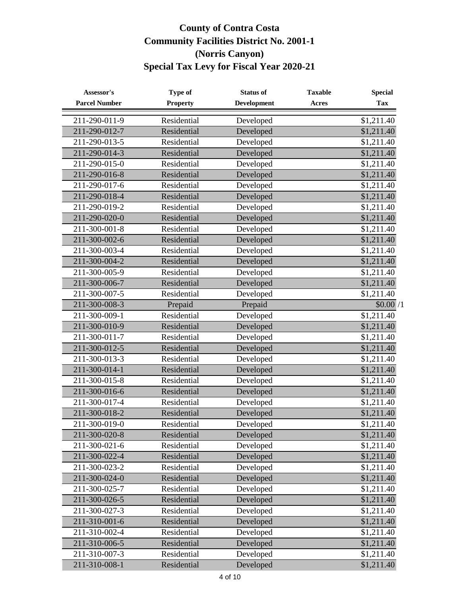| Assessor's           | Type of         | <b>Status of</b>   | <b>Taxable</b> | <b>Special</b> |
|----------------------|-----------------|--------------------|----------------|----------------|
| <b>Parcel Number</b> | <b>Property</b> | <b>Development</b> | <b>Acres</b>   | <b>Tax</b>     |
| 211-290-011-9        | Residential     | Developed          |                | \$1,211.40     |
| 211-290-012-7        | Residential     | Developed          |                | \$1,211.40     |
| 211-290-013-5        | Residential     | Developed          |                | \$1,211.40     |
| 211-290-014-3        | Residential     | Developed          |                | \$1,211.40     |
| 211-290-015-0        | Residential     | Developed          |                | \$1,211.40     |
| 211-290-016-8        | Residential     | Developed          |                | \$1,211.40     |
| 211-290-017-6        | Residential     | Developed          |                | \$1,211.40     |
| 211-290-018-4        | Residential     | Developed          |                | \$1,211.40     |
| 211-290-019-2        | Residential     | Developed          |                | \$1,211.40     |
| 211-290-020-0        | Residential     | Developed          |                | \$1,211.40     |
| 211-300-001-8        | Residential     | Developed          |                | \$1,211.40     |
| 211-300-002-6        | Residential     | Developed          |                | \$1,211.40     |
| 211-300-003-4        | Residential     | Developed          |                | \$1,211.40     |
| 211-300-004-2        | Residential     | Developed          |                | \$1,211.40     |
| 211-300-005-9        | Residential     | Developed          |                | \$1,211.40     |
| 211-300-006-7        | Residential     | Developed          |                | \$1,211.40     |
| 211-300-007-5        | Residential     | Developed          |                | \$1,211.40     |
| 211-300-008-3        | Prepaid         | Prepaid            |                | \$0.00/1       |
| 211-300-009-1        | Residential     | Developed          |                | \$1,211.40     |
| 211-300-010-9        | Residential     | Developed          |                | \$1,211.40     |
| 211-300-011-7        | Residential     | Developed          |                | \$1,211.40     |
| 211-300-012-5        | Residential     | Developed          |                | \$1,211.40     |
| 211-300-013-3        | Residential     | Developed          |                | \$1,211.40     |
| 211-300-014-1        | Residential     | Developed          |                | \$1,211.40     |
| 211-300-015-8        | Residential     | Developed          |                | \$1,211.40     |
| 211-300-016-6        | Residential     | Developed          |                | \$1,211.40     |
| 211-300-017-4        | Residential     | Developed          |                | \$1,211.40     |
| 211-300-018-2        | Residential     | Developed          |                | \$1,211.40     |
| 211-300-019-0        | Residential     | Developed          |                | \$1,211.40     |
| 211-300-020-8        | Residential     | Developed          |                | \$1,211.40     |
| 211-300-021-6        | Residential     | Developed          |                | \$1,211.40     |
| 211-300-022-4        | Residential     | Developed          |                | \$1,211.40     |
| 211-300-023-2        | Residential     | Developed          |                | \$1,211.40     |
| 211-300-024-0        | Residential     | Developed          |                | \$1,211.40     |
| 211-300-025-7        | Residential     | Developed          |                | \$1,211.40     |
| 211-300-026-5        | Residential     | Developed          |                | \$1,211.40     |
| 211-300-027-3        | Residential     | Developed          |                | \$1,211.40     |
| 211-310-001-6        | Residential     | Developed          |                | \$1,211.40     |
| 211-310-002-4        | Residential     | Developed          |                | \$1,211.40     |
| 211-310-006-5        | Residential     | Developed          |                | \$1,211.40     |
| 211-310-007-3        | Residential     | Developed          |                | \$1,211.40     |
| 211-310-008-1        | Residential     | Developed          |                | \$1,211.40     |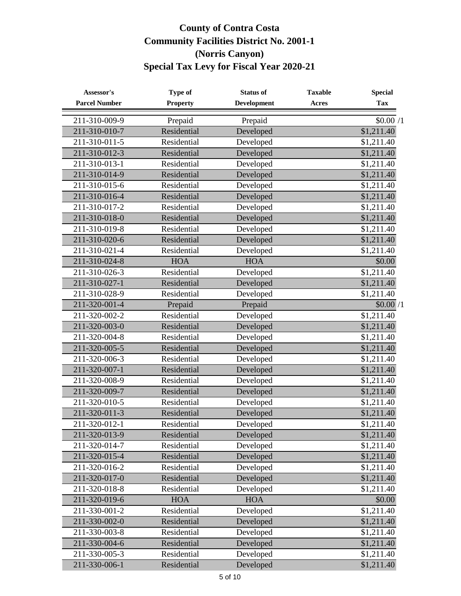| Assessor's            | Type of         | <b>Status of</b>   | <b>Taxable</b> | <b>Special</b>         |
|-----------------------|-----------------|--------------------|----------------|------------------------|
| <b>Parcel Number</b>  | <b>Property</b> | <b>Development</b> | <b>Acres</b>   | <b>Tax</b>             |
| 211-310-009-9         | Prepaid         | Prepaid            |                | \$0.00/1               |
| 211-310-010-7         | Residential     | Developed          |                | $\overline{$1,211.40}$ |
| 211-310-011-5         | Residential     | Developed          |                | \$1,211.40             |
| 211-310-012-3         | Residential     | Developed          |                | \$1,211.40             |
| 211-310-013-1         | Residential     | Developed          |                | \$1,211.40             |
| 211-310-014-9         | Residential     | Developed          |                | \$1,211.40             |
| 211-310-015-6         | Residential     | Developed          |                | \$1,211.40             |
| 211-310-016-4         | Residential     | Developed          |                | \$1,211.40             |
| 211-310-017-2         | Residential     | Developed          |                | \$1,211.40             |
| 211-310-018-0         | Residential     | Developed          |                | \$1,211.40             |
| 211-310-019-8         | Residential     | Developed          |                | \$1,211.40             |
| 211-310-020-6         | Residential     | Developed          |                | \$1,211.40             |
| 211-310-021-4         | Residential     | Developed          |                | \$1,211.40             |
| 211-310-024-8         | <b>HOA</b>      | <b>HOA</b>         |                | \$0.00                 |
| 211-310-026-3         | Residential     | Developed          |                | \$1,211.40             |
| 211-310-027-1         | Residential     | Developed          |                | \$1,211.40             |
| 211-310-028-9         | Residential     | Developed          |                | \$1,211.40             |
| 211-320-001-4         | Prepaid         | Prepaid            |                | \$0.00/1               |
| 211-320-002-2         | Residential     | Developed          |                | \$1,211.40             |
| 211-320-003-0         | Residential     | Developed          |                | \$1,211.40             |
| 211-320-004-8         | Residential     | Developed          |                | \$1,211.40             |
| 211-320-005-5         | Residential     | Developed          |                | \$1,211.40             |
| 211-320-006-3         | Residential     | Developed          |                | \$1,211.40             |
| 211-320-007-1         | Residential     | Developed          |                | \$1,211.40             |
| 211-320-008-9         | Residential     | Developed          |                | \$1,211.40             |
| 211-320-009-7         | Residential     | Developed          |                | \$1,211.40             |
| $211 - 320 - 010 - 5$ | Residential     | Developed          |                | $\overline{1,211.40}$  |
| 211-320-011-3         | Residential     | Developed          |                | \$1,211.40             |
| 211-320-012-1         | Residential     | Developed          |                | \$1,211.40             |
| 211-320-013-9         | Residential     | Developed          |                | \$1,211.40             |
| 211-320-014-7         | Residential     | Developed          |                | \$1,211.40             |
| 211-320-015-4         | Residential     | Developed          |                | \$1,211.40             |
| 211-320-016-2         | Residential     | Developed          |                | \$1,211.40             |
| 211-320-017-0         | Residential     | Developed          |                | \$1,211.40             |
| 211-320-018-8         | Residential     | Developed          |                | \$1,211.40             |
| 211-320-019-6         | <b>HOA</b>      | <b>HOA</b>         |                | \$0.00                 |
| 211-330-001-2         | Residential     | Developed          |                | $\overline{$}1,211.40$ |
| 211-330-002-0         | Residential     | Developed          |                | \$1,211.40             |
| 211-330-003-8         | Residential     | Developed          |                | \$1,211.40             |
| 211-330-004-6         | Residential     | Developed          |                | \$1,211.40             |
| 211-330-005-3         | Residential     | Developed          |                | \$1,211.40             |
| 211-330-006-1         | Residential     | Developed          |                | \$1,211.40             |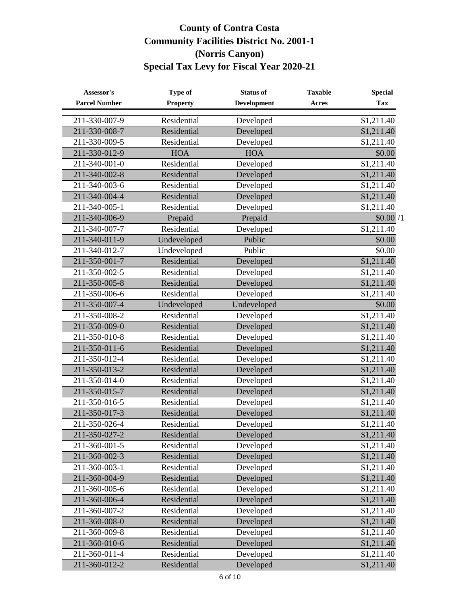| Assessor's           | Type of         | <b>Status of</b>   | <b>Taxable</b> | <b>Special</b> |
|----------------------|-----------------|--------------------|----------------|----------------|
| <b>Parcel Number</b> | <b>Property</b> | <b>Development</b> | <b>Acres</b>   | <b>Tax</b>     |
| 211-330-007-9        | Residential     | Developed          |                | \$1,211.40     |
| 211-330-008-7        | Residential     | Developed          |                | \$1,211.40     |
| 211-330-009-5        | Residential     | Developed          |                | \$1,211.40     |
| 211-330-012-9        | <b>HOA</b>      | <b>HOA</b>         |                | \$0.00         |
| 211-340-001-0        | Residential     | Developed          |                | \$1,211.40     |
| 211-340-002-8        | Residential     | Developed          |                | \$1,211.40     |
| 211-340-003-6        | Residential     | Developed          |                | \$1,211.40     |
| 211-340-004-4        | Residential     | Developed          |                | \$1,211.40     |
| 211-340-005-1        | Residential     | Developed          |                | \$1,211.40     |
| 211-340-006-9        | Prepaid         | Prepaid            |                | \$0.00/1       |
| 211-340-007-7        | Residential     | Developed          |                | \$1,211.40     |
| 211-340-011-9        | Undeveloped     | Public             |                | \$0.00         |
| 211-340-012-7        | Undeveloped     | Public             |                | \$0.00         |
| 211-350-001-7        | Residential     | Developed          |                | \$1,211.40     |
| 211-350-002-5        | Residential     | Developed          |                | \$1,211.40     |
| 211-350-005-8        | Residential     | Developed          |                | \$1,211.40     |
| 211-350-006-6        | Residential     | Developed          |                | \$1,211.40     |
| 211-350-007-4        | Undeveloped     | Undeveloped        |                | \$0.00         |
| 211-350-008-2        | Residential     | Developed          |                | \$1,211.40     |
| 211-350-009-0        | Residential     | Developed          |                | \$1,211.40     |
| 211-350-010-8        | Residential     | Developed          |                | \$1,211.40     |
| 211-350-011-6        | Residential     | Developed          |                | \$1,211.40     |
| 211-350-012-4        | Residential     | Developed          |                | \$1,211.40     |
| 211-350-013-2        | Residential     | Developed          |                | \$1,211.40     |
| 211-350-014-0        | Residential     | Developed          |                | \$1,211.40     |
| 211-350-015-7        | Residential     | Developed          |                | \$1,211.40     |
| 211-350-016-5        | Residential     | Developed          |                | \$1,211.40     |
| 211-350-017-3        | Residential     | Developed          |                | \$1,211.40     |
| 211-350-026-4        | Residential     | Developed          |                | \$1,211.40     |
| 211-350-027-2        | Residential     | Developed          |                | \$1,211.40     |
| 211-360-001-5        | Residential     | Developed          |                | \$1,211.40     |
| 211-360-002-3        | Residential     | Developed          |                | \$1,211.40     |
| 211-360-003-1        | Residential     | Developed          |                | \$1,211.40     |
| 211-360-004-9        | Residential     | Developed          |                | \$1,211.40     |
| 211-360-005-6        | Residential     | Developed          |                | \$1,211.40     |
| 211-360-006-4        | Residential     | Developed          |                | \$1,211.40     |
| 211-360-007-2        | Residential     | Developed          |                | \$1,211.40     |
| 211-360-008-0        | Residential     | Developed          |                | \$1,211.40     |
| 211-360-009-8        | Residential     | Developed          |                | \$1,211.40     |
| 211-360-010-6        | Residential     | Developed          |                | \$1,211.40     |
| 211-360-011-4        | Residential     | Developed          |                | \$1,211.40     |
| 211-360-012-2        | Residential     | Developed          |                | \$1,211.40     |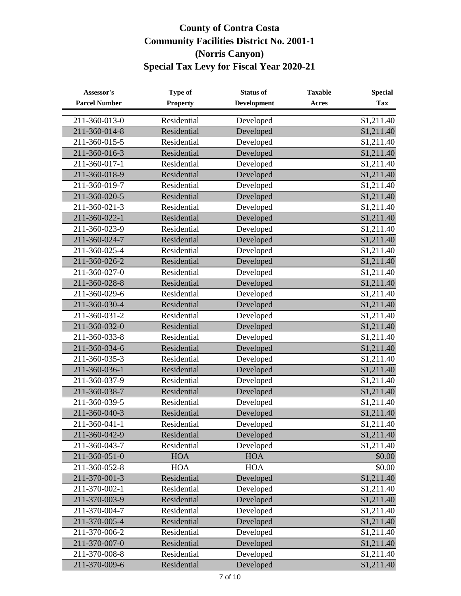| Assessor's            | <b>Type of</b>  | <b>Status of</b>   | <b>Taxable</b> | <b>Special</b> |
|-----------------------|-----------------|--------------------|----------------|----------------|
| <b>Parcel Number</b>  | <b>Property</b> | <b>Development</b> | Acres          | <b>Tax</b>     |
| 211-360-013-0         | Residential     | Developed          |                | \$1,211.40     |
| 211-360-014-8         | Residential     | Developed          |                | \$1,211.40     |
| 211-360-015-5         | Residential     | Developed          |                | \$1,211.40     |
| 211-360-016-3         | Residential     | Developed          |                | \$1,211.40     |
| 211-360-017-1         | Residential     | Developed          |                | \$1,211.40     |
| 211-360-018-9         | Residential     | Developed          |                | \$1,211.40     |
| 211-360-019-7         | Residential     | Developed          |                | \$1,211.40     |
| 211-360-020-5         | Residential     | Developed          |                | \$1,211.40     |
| 211-360-021-3         | Residential     | Developed          |                | \$1,211.40     |
| 211-360-022-1         | Residential     | Developed          |                | \$1,211.40     |
| 211-360-023-9         | Residential     | Developed          |                | \$1,211.40     |
| 211-360-024-7         | Residential     | Developed          |                | \$1,211.40     |
| 211-360-025-4         | Residential     | Developed          |                | \$1,211.40     |
| 211-360-026-2         | Residential     | Developed          |                | \$1,211.40     |
| 211-360-027-0         | Residential     | Developed          |                | \$1,211.40     |
| 211-360-028-8         | Residential     | Developed          |                | \$1,211.40     |
| 211-360-029-6         | Residential     | Developed          |                | \$1,211.40     |
| 211-360-030-4         | Residential     | Developed          |                | \$1,211.40     |
| 211-360-031-2         | Residential     | Developed          |                | \$1,211.40     |
| 211-360-032-0         | Residential     | Developed          |                | \$1,211.40     |
| 211-360-033-8         | Residential     | Developed          |                | \$1,211.40     |
| 211-360-034-6         | Residential     | Developed          |                | \$1,211.40     |
| 211-360-035-3         | Residential     | Developed          |                | \$1,211.40     |
| 211-360-036-1         | Residential     | Developed          |                | \$1,211.40     |
| 211-360-037-9         | Residential     | Developed          |                | \$1,211.40     |
| 211-360-038-7         | Residential     | Developed          |                | \$1,211.40     |
| $211 - 360 - 039 - 5$ | Residential     | Developed          |                | \$1,211.40     |
| 211-360-040-3         | Residential     | Developed          |                | \$1,211.40     |
| 211-360-041-1         | Residential     | Developed          |                | \$1,211.40     |
| 211-360-042-9         | Residential     | Developed          |                | \$1,211.40     |
| 211-360-043-7         | Residential     | Developed          |                | \$1,211.40     |
| 211-360-051-0         | <b>HOA</b>      | <b>HOA</b>         |                | \$0.00         |
| 211-360-052-8         | <b>HOA</b>      | <b>HOA</b>         |                | \$0.00         |
| 211-370-001-3         | Residential     | Developed          |                | \$1,211.40     |
| 211-370-002-1         | Residential     | Developed          |                | \$1,211.40     |
| 211-370-003-9         | Residential     | Developed          |                | \$1,211.40     |
| 211-370-004-7         | Residential     | Developed          |                | \$1,211.40     |
| 211-370-005-4         | Residential     | Developed          |                | \$1,211.40     |
| 211-370-006-2         | Residential     | Developed          |                | \$1,211.40     |
| 211-370-007-0         | Residential     | Developed          |                | \$1,211.40     |
| 211-370-008-8         | Residential     | Developed          |                | \$1,211.40     |
| 211-370-009-6         | Residential     | Developed          |                | \$1,211.40     |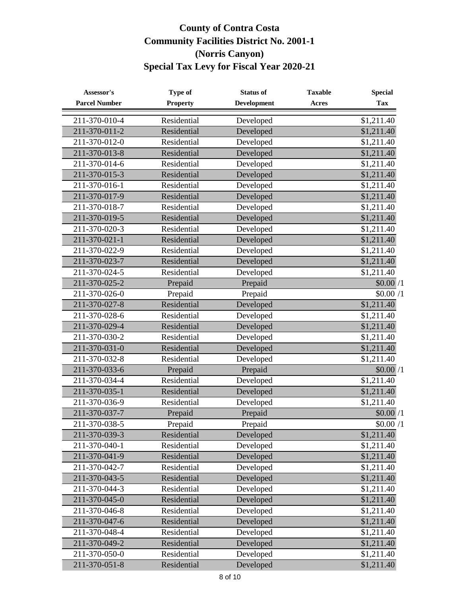| Assessor's            | Type of         | <b>Status of</b>   | <b>Taxable</b> | <b>Special</b> |
|-----------------------|-----------------|--------------------|----------------|----------------|
| <b>Parcel Number</b>  | <b>Property</b> | <b>Development</b> | <b>Acres</b>   | <b>Tax</b>     |
| 211-370-010-4         | Residential     | Developed          |                | \$1,211.40     |
| 211-370-011-2         | Residential     | Developed          |                | \$1,211.40     |
| 211-370-012-0         | Residential     | Developed          |                | \$1,211.40     |
| 211-370-013-8         | Residential     | Developed          |                | \$1,211.40     |
| 211-370-014-6         | Residential     | Developed          |                | \$1,211.40     |
| 211-370-015-3         | Residential     | Developed          |                | \$1,211.40     |
| 211-370-016-1         | Residential     | Developed          |                | \$1,211.40     |
| 211-370-017-9         | Residential     | Developed          |                | \$1,211.40     |
| 211-370-018-7         | Residential     | Developed          |                | \$1,211.40     |
| 211-370-019-5         | Residential     | Developed          |                | \$1,211.40     |
| 211-370-020-3         | Residential     | Developed          |                | \$1,211.40     |
| 211-370-021-1         | Residential     | Developed          |                | \$1,211.40     |
| 211-370-022-9         | Residential     | Developed          |                | \$1,211.40     |
| 211-370-023-7         | Residential     | Developed          |                | \$1,211.40     |
| 211-370-024-5         | Residential     | Developed          |                | \$1,211.40     |
| 211-370-025-2         | Prepaid         | Prepaid            |                | \$0.00/1       |
| 211-370-026-0         | Prepaid         | Prepaid            |                | \$0.00/1       |
| 211-370-027-8         | Residential     | Developed          |                | \$1,211.40     |
| 211-370-028-6         | Residential     | Developed          |                | \$1,211.40     |
| 211-370-029-4         | Residential     | Developed          |                | \$1,211.40     |
| 211-370-030-2         | Residential     | Developed          |                | \$1,211.40     |
| $211 - 370 - 031 - 0$ | Residential     | Developed          |                | \$1,211.40     |
| 211-370-032-8         | Residential     | Developed          |                | \$1,211.40     |
| 211-370-033-6         | Prepaid         | Prepaid            |                | \$0.00/1       |
| 211-370-034-4         | Residential     | Developed          |                | \$1,211.40     |
| 211-370-035-1         | Residential     | Developed          |                | \$1,211.40     |
| 211-370-036-9         | Residential     | Developed          |                | \$1,211.40     |
| 211-370-037-7         | Prepaid         | Prepaid            |                | \$0.00/1       |
| 211-370-038-5         | Prepaid         | Prepaid            |                | \$0.00/1       |
| 211-370-039-3         | Residential     | Developed          |                | \$1,211.40     |
| 211-370-040-1         | Residential     | Developed          |                | \$1,211.40     |
| 211-370-041-9         | Residential     | Developed          |                | \$1,211.40     |
| 211-370-042-7         | Residential     | Developed          |                | \$1,211.40     |
| 211-370-043-5         | Residential     | Developed          |                | \$1,211.40     |
| 211-370-044-3         | Residential     | Developed          |                | \$1,211.40     |
| 211-370-045-0         | Residential     | Developed          |                | \$1,211.40     |
| 211-370-046-8         | Residential     | Developed          |                | \$1,211.40     |
| 211-370-047-6         | Residential     | Developed          |                | \$1,211.40     |
| 211-370-048-4         | Residential     | Developed          |                | \$1,211.40     |
| 211-370-049-2         | Residential     | Developed          |                | \$1,211.40     |
| 211-370-050-0         | Residential     | Developed          |                | \$1,211.40     |
| 211-370-051-8         | Residential     | Developed          |                | \$1,211.40     |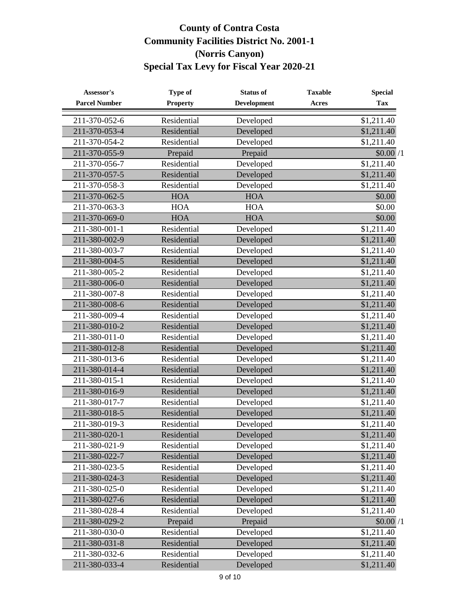| Assessor's           | Type of         | <b>Status of</b>   | <b>Taxable</b> | <b>Special</b>         |
|----------------------|-----------------|--------------------|----------------|------------------------|
| <b>Parcel Number</b> | <b>Property</b> | <b>Development</b> | Acres          | <b>Tax</b>             |
| 211-370-052-6        | Residential     | Developed          |                | \$1,211.40             |
| 211-370-053-4        | Residential     | Developed          |                | $\overline{$}1,211.40$ |
| 211-370-054-2        | Residential     | Developed          |                | \$1,211.40             |
| 211-370-055-9        | Prepaid         | Prepaid            |                | \$0.00/1               |
| 211-370-056-7        | Residential     | Developed          |                | \$1,211.40             |
| 211-370-057-5        | Residential     | Developed          |                | \$1,211.40             |
| 211-370-058-3        | Residential     | Developed          |                | \$1,211.40             |
| 211-370-062-5        | <b>HOA</b>      | <b>HOA</b>         |                | \$0.00                 |
| 211-370-063-3        | <b>HOA</b>      | <b>HOA</b>         |                | \$0.00                 |
| 211-370-069-0        | <b>HOA</b>      | <b>HOA</b>         |                | \$0.00                 |
| 211-380-001-1        | Residential     | Developed          |                | \$1,211.40             |
| 211-380-002-9        | Residential     | Developed          |                | \$1,211.40             |
| 211-380-003-7        | Residential     | Developed          |                | \$1,211.40             |
| 211-380-004-5        | Residential     | Developed          |                | \$1,211.40             |
| 211-380-005-2        | Residential     | Developed          |                | \$1,211.40             |
| 211-380-006-0        | Residential     | Developed          |                | \$1,211.40             |
| 211-380-007-8        | Residential     | Developed          |                | \$1,211.40             |
| 211-380-008-6        | Residential     | Developed          |                | \$1,211.40             |
| 211-380-009-4        | Residential     | Developed          |                | \$1,211.40             |
| 211-380-010-2        | Residential     | Developed          |                | \$1,211.40             |
| 211-380-011-0        | Residential     | Developed          |                | \$1,211.40             |
| 211-380-012-8        | Residential     | Developed          |                | \$1,211.40             |
| 211-380-013-6        | Residential     | Developed          |                | \$1,211.40             |
| 211-380-014-4        | Residential     | Developed          |                | \$1,211.40             |
| 211-380-015-1        | Residential     | Developed          |                | \$1,211.40             |
| 211-380-016-9        | Residential     | Developed          |                | \$1,211.40             |
| 211-380-017-7        | Residential     | Developed          |                | \$1,211.40             |
| 211-380-018-5        | Residential     | Developed          |                | \$1,211.40             |
| 211-380-019-3        | Residential     | Developed          |                | \$1,211.40             |
| 211-380-020-1        | Residential     | Developed          |                | \$1,211.40             |
| 211-380-021-9        | Residential     | Developed          |                | \$1,211.40             |
| 211-380-022-7        | Residential     | Developed          |                | \$1,211.40             |
| 211-380-023-5        | Residential     | Developed          |                | \$1,211.40             |
| 211-380-024-3        | Residential     | Developed          |                | \$1,211.40             |
| 211-380-025-0        | Residential     | Developed          |                | \$1,211.40             |
| 211-380-027-6        | Residential     | Developed          |                | \$1,211.40             |
| 211-380-028-4        | Residential     | Developed          |                | \$1,211.40             |
| 211-380-029-2        | Prepaid         | Prepaid            |                | \$0.00/1               |
| 211-380-030-0        | Residential     | Developed          |                | \$1,211.40             |
| 211-380-031-8        | Residential     | Developed          |                | \$1,211.40             |
| 211-380-032-6        | Residential     | Developed          |                | \$1,211.40             |
| 211-380-033-4        | Residential     | Developed          |                | \$1,211.40             |